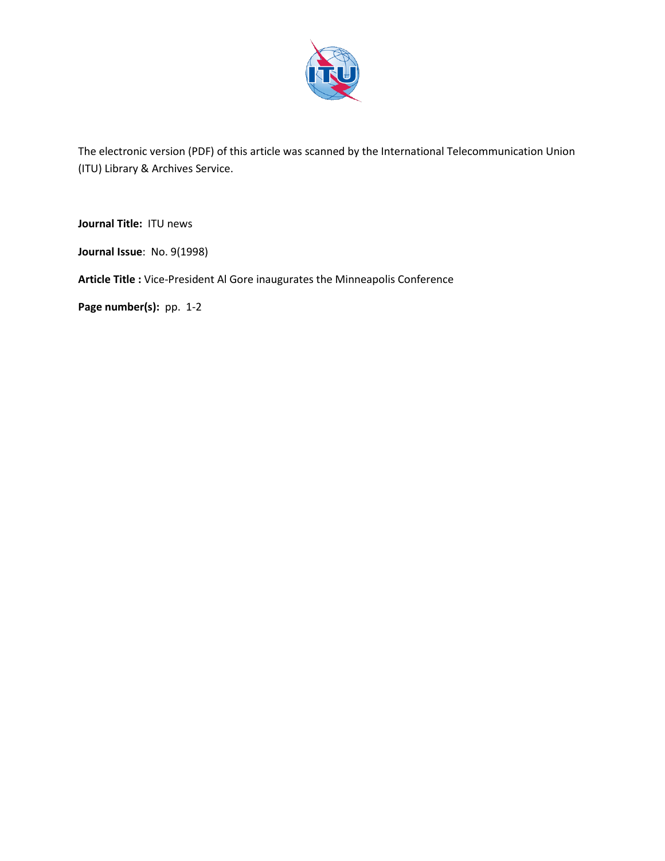

The electronic version (PDF) of this article was scanned by the International Telecommunication Union (ITU) Library & Archives Service.

**Journal Title:** ITU news

**Journal Issue**: No. 9(1998)

**Article Title :** Vice-President Al Gore inaugurates the Minneapolis Conference

Page number(s): pp. 1-2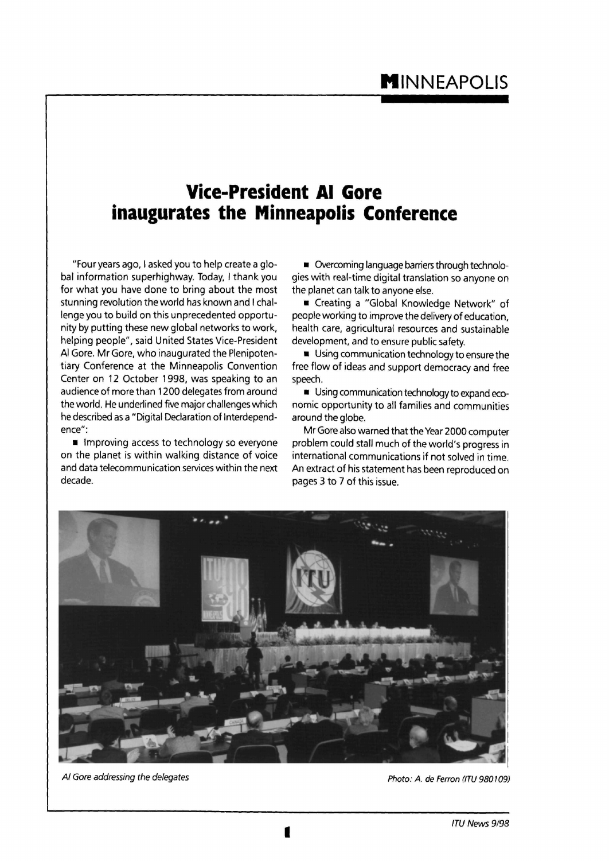## **Vice-President Al Gore inaugurates the Minneapolis Conference**

"Four years ago, I asked you to help create a global information superhighway. Today, I thank you for what you have done to bring about the most stunning revolution the world has known and I challenge you to build on this unprecedented opportunity by putting these new global networks to work, helping people", said United States Vice-President Al Gore. Mr Gore, who inaugurated the Plenipotentiary Conference at the Minneapolis Convention Center on 12 October 1998, was speaking to an audience of more than 1200 delegates from around the world. He underlined five major challenges which he described as a "Digital Declaration of Interdependence":

 $\blacksquare$  Improving access to technology so everyone on the planet is within walking distance of voice and data telecommunication services within the next decade.

**• Overcoming language barriers through technolo**gies with real-time digital translation so anyone on the planet can talk to anyone else.

• Creating a "Global Knowledge Network" of people working to improve the delivery of education, health care, agricultural resources and sustainable development, and to ensure public safety.

**Using communication technology to ensure the** free flow of ideas and support democracy and free speech.

**• Using communication technology to expand eco**nomic opportunity to all families and communities around the globe.

Mr Gore also warned that the Year 2000 computer problem could stall much of the world's progress in international communications if not solved in time. An extract of his statement has been reproduced on pages 3 to 7 of this issue.



Al Gore addressing the delegates **All Gore and The Contract Contract Contract Contract Contract Contract Contract Photo: A. de Ferron (ITU 980109)**